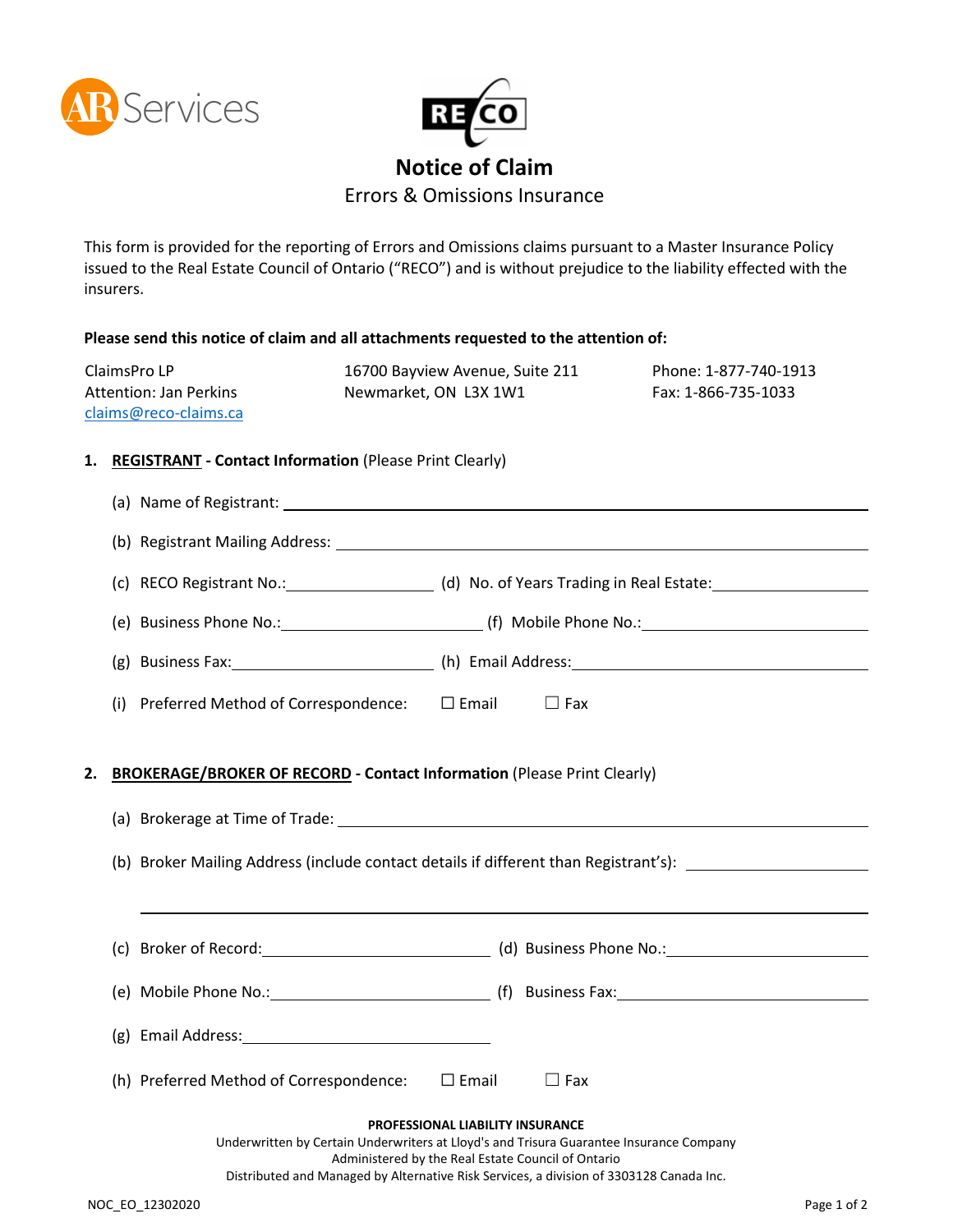



## **Notice of Claim**

Errors & Omissions Insurance

This form is provided for the reporting of Errors and Omissions claims pursuant to a Master Insurance Policy issued to the Real Estate Council of Ontario ("RECO") and is without prejudice to the liability effected with the insurers.

|    |                                                                        | Please send this notice of claim and all attachments requested to the attention of: |  |                                                          |                                                    |                                                                                         |  |  |
|----|------------------------------------------------------------------------|-------------------------------------------------------------------------------------|--|----------------------------------------------------------|----------------------------------------------------|-----------------------------------------------------------------------------------------|--|--|
|    | ClaimsPro LP<br><b>Attention: Jan Perkins</b><br>claims@reco-claims.ca |                                                                                     |  | 16700 Bayview Avenue, Suite 211<br>Newmarket, ON L3X 1W1 |                                                    | Phone: 1-877-740-1913<br>Fax: 1-866-735-1033                                            |  |  |
|    |                                                                        |                                                                                     |  |                                                          |                                                    |                                                                                         |  |  |
|    |                                                                        | 1. REGISTRANT - Contact Information (Please Print Clearly)                          |  |                                                          |                                                    |                                                                                         |  |  |
|    |                                                                        |                                                                                     |  |                                                          |                                                    |                                                                                         |  |  |
|    |                                                                        |                                                                                     |  |                                                          |                                                    |                                                                                         |  |  |
|    |                                                                        |                                                                                     |  |                                                          |                                                    |                                                                                         |  |  |
|    |                                                                        |                                                                                     |  |                                                          |                                                    |                                                                                         |  |  |
|    |                                                                        |                                                                                     |  |                                                          |                                                    |                                                                                         |  |  |
|    |                                                                        | (i) Preferred Method of Correspondence: $\square$ Email                             |  |                                                          | $\Box$ Fax                                         |                                                                                         |  |  |
|    |                                                                        |                                                                                     |  |                                                          |                                                    |                                                                                         |  |  |
| 2. |                                                                        | <b>BROKERAGE/BROKER OF RECORD - Contact Information (Please Print Clearly)</b>      |  |                                                          |                                                    |                                                                                         |  |  |
|    |                                                                        |                                                                                     |  |                                                          |                                                    |                                                                                         |  |  |
|    |                                                                        |                                                                                     |  |                                                          |                                                    | (b) Broker Mailing Address (include contact details if different than Registrant's):    |  |  |
|    |                                                                        |                                                                                     |  |                                                          |                                                    | ,我们也不会有什么。""我们的人,我们也不会有什么?""我们的人,我们也不会有什么?""我们的人,我们也不会有什么?""我们的人,我们也不会有什么?""我们的人        |  |  |
|    |                                                                        |                                                                                     |  |                                                          |                                                    |                                                                                         |  |  |
|    |                                                                        |                                                                                     |  |                                                          |                                                    |                                                                                         |  |  |
|    |                                                                        |                                                                                     |  |                                                          |                                                    |                                                                                         |  |  |
|    |                                                                        | (g) Email Address:                                                                  |  |                                                          |                                                    |                                                                                         |  |  |
|    |                                                                        | (h) Preferred Method of Correspondence:                                             |  | $\square$ Email                                          | $\Box$ Fax                                         |                                                                                         |  |  |
|    |                                                                        |                                                                                     |  | PROFESSIONAL LIABILITY INSURANCE                         |                                                    |                                                                                         |  |  |
|    |                                                                        |                                                                                     |  |                                                          | Administered by the Real Estate Council of Ontario | Underwritten by Certain Underwriters at Lloyd's and Trisura Guarantee Insurance Company |  |  |
|    |                                                                        |                                                                                     |  |                                                          |                                                    |                                                                                         |  |  |